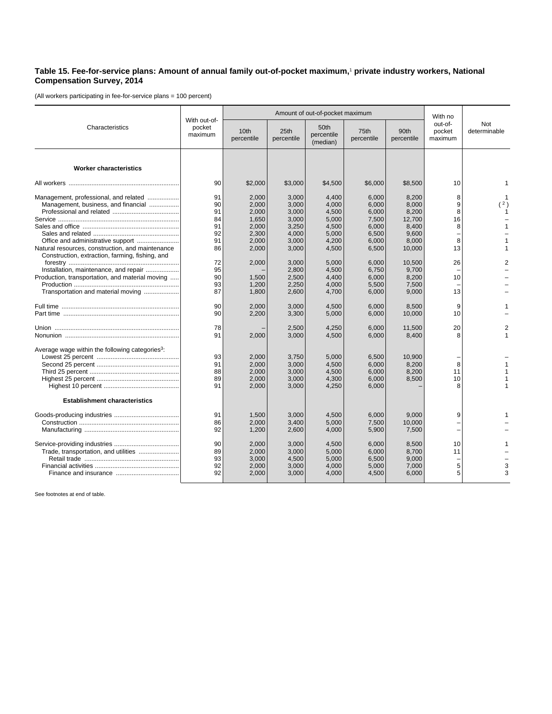## **Table 15. Fee-for-service plans: Amount of annual family out-of-pocket maximum,**<sup>1</sup>  **private industry workers, National Compensation Survey, 2014**

(All workers participating in fee-for-service plans = 100 percent)

| Characteristics                                                                                                                          |                                   | Amount of out-of-pocket maximum                    |                                                    |                                                    |                                                    |                                                     |                              |                     |
|------------------------------------------------------------------------------------------------------------------------------------------|-----------------------------------|----------------------------------------------------|----------------------------------------------------|----------------------------------------------------|----------------------------------------------------|-----------------------------------------------------|------------------------------|---------------------|
|                                                                                                                                          | With out-of-<br>pocket<br>maximum | 10th<br>percentile                                 | 25th<br>percentile                                 | 50th<br>percentile<br>(median)                     | 75th<br>percentile                                 | 90th<br>percentile                                  | out-of-<br>pocket<br>maximum | Not<br>determinable |
| <b>Worker characteristics</b>                                                                                                            |                                   |                                                    |                                                    |                                                    |                                                    |                                                     |                              |                     |
|                                                                                                                                          | 90                                | \$2,000                                            | \$3,000                                            | \$4,500                                            | \$6,000                                            | \$8,500                                             | 10                           |                     |
| Management, professional, and related<br>Management, business, and financial                                                             | 91<br>90<br>91<br>84<br>91<br>92  | 2,000<br>2,000<br>2,000<br>1,650<br>2,000<br>2,300 | 3,000<br>3,000<br>3,000<br>3,000<br>3,250<br>4,000 | 4,400<br>4,000<br>4,500<br>5,000<br>4,500<br>5,000 | 6.000<br>6,000<br>6,000<br>7,500<br>6,000<br>6,500 | 8,200<br>8,000<br>8,200<br>12,700<br>8.400<br>9,600 | 8<br>9<br>8<br>16<br>8       | (2)                 |
| Office and administrative support<br>Natural resources, construction, and maintenance<br>Construction, extraction, farming, fishing, and | 91<br>86<br>72                    | 2,000<br>2,000<br>2,000                            | 3,000<br>3,000<br>3,000                            | 4,200<br>4,500<br>5,000                            | 6,000<br>6,500<br>6,000                            | 8,000<br>10,000<br>10,500                           | 8<br>13<br>26                |                     |
| Installation, maintenance, and repair<br>Production, transportation, and material moving<br>Transportation and material moving           | 95<br>90<br>93<br>87              | 1,500<br>1,200<br>1,800                            | 2,800<br>2,500<br>2,250<br>2,600                   | 4,500<br>4.400<br>4,000<br>4,700                   | 6,750<br>6.000<br>5,500<br>6,000                   | 9,700<br>8.200<br>7,500<br>9,000                    | 10<br>13                     |                     |
|                                                                                                                                          | 90<br>90                          | 2,000<br>2,200                                     | 3,000<br>3,300                                     | 4,500<br>5,000                                     | 6,000<br>6,000                                     | 8,500<br>10,000                                     | 9<br>10                      |                     |
|                                                                                                                                          | 78<br>91                          | 2,000                                              | 2,500<br>3,000                                     | 4,250<br>4,500                                     | 6,000<br>6,000                                     | 11,500<br>8,400                                     | 20<br>8                      |                     |
| Average wage within the following categories <sup>3</sup> :                                                                              | 93<br>91<br>88<br>89<br>91        | 2,000<br>2,000<br>2,000<br>2,000<br>2,000          | 3,750<br>3,000<br>3,000<br>3,000<br>3,000          | 5,000<br>4,500<br>4,500<br>4,300<br>4,250          | 6,500<br>6.000<br>6,000<br>6,000<br>6,000          | 10,900<br>8,200<br>8,200<br>8,500                   | 8<br>11<br>10<br>8           |                     |
| <b>Establishment characteristics</b>                                                                                                     |                                   |                                                    |                                                    |                                                    |                                                    |                                                     |                              |                     |
|                                                                                                                                          | 91<br>86<br>92                    | 1,500<br>2,000<br>1,200                            | 3,000<br>3,400<br>2,600                            | 4,500<br>5,000<br>4,000                            | 6,000<br>7,500<br>5,900                            | 9,000<br>10,000<br>7,500                            | 9                            |                     |
| Trade, transportation, and utilities                                                                                                     | 90<br>89<br>93<br>92<br>92        | 2,000<br>2,000<br>3,000<br>2,000<br>2,000          | 3,000<br>3,000<br>4,500<br>3,000<br>3,000          | 4,500<br>5,000<br>5,000<br>4,000<br>4,000          | 6,000<br>6,000<br>6,500<br>5,000<br>4,500          | 8,500<br>8,700<br>9,000<br>7,000<br>6,000           | 10<br>11<br>5<br>5           |                     |

See footnotes at end of table.